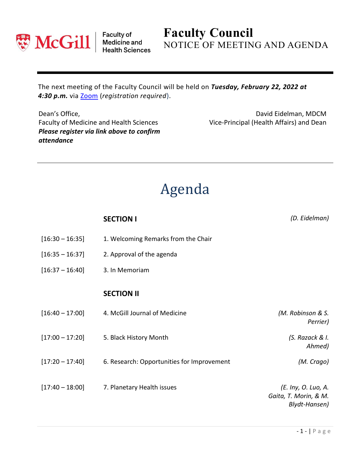

Faculty of<br>Medicine and<br>Health Sciences

## **Faculty Council** NOTICE OF MEETING AND AGENDA

The next meeting of the Faculty Council will be held on *Tuesday, February 22, 2022 at 4:30 p.m.* via [Zoom](https://mcgill.zoom.us/j/81780576708?pwd=WFZ3MnJvSC8wNXI5eW5mWHhXcS93UT09) (*registration required*).

Dean's Office, Faculty of Medicine and Health Sciences *Please register via link above to confirm attendance*

David Eidelman, MDCM Vice-Principal (Health Affairs) and Dean

## Agenda

|                   | <b>SECTION I</b>                           | (D. Eidelman)                                                 |
|-------------------|--------------------------------------------|---------------------------------------------------------------|
| $[16:30 - 16:35]$ | 1. Welcoming Remarks from the Chair        |                                                               |
| $[16:35 - 16:37]$ | 2. Approval of the agenda                  |                                                               |
| $[16:37 - 16:40]$ | 3. In Memoriam                             |                                                               |
|                   | <b>SECTION II</b>                          |                                                               |
| $[16:40 - 17:00]$ | 4. McGill Journal of Medicine              | (M. Robinson & S.<br>Perrier)                                 |
| $[17:00 - 17:20]$ | 5. Black History Month                     | (S. Razack & I.<br>Ahmed)                                     |
| $[17:20 - 17:40]$ | 6. Research: Opportunities for Improvement | (M. Crago)                                                    |
| $[17:40 - 18:00]$ | 7. Planetary Health issues                 | (E. Iny, O. Luo, A.<br>Gaita, T. Morin, & M.<br>Blydt-Hansen) |